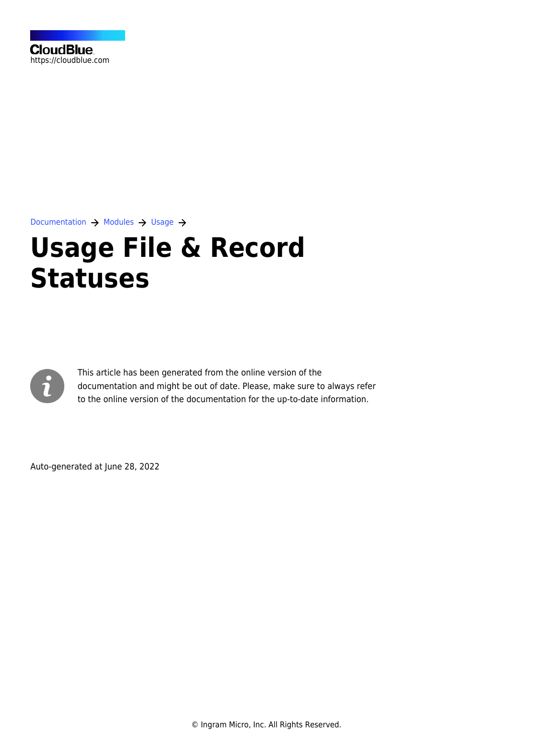

[Documentation](https://connect.cloudblue.com/documentation)  $\rightarrow$  [Modules](https://connect.cloudblue.com/community/modules/)  $\rightarrow$  [Usage](https://connect.cloudblue.com/community/modules/usage_module/)  $\rightarrow$ 

# **[Usage File & Record](https://connect.cloudblue.com/community/modules/usage_module/state-machine/) [Statuses](https://connect.cloudblue.com/community/modules/usage_module/state-machine/)**



This article has been generated from the online version of the documentation and might be out of date. Please, make sure to always refer to the online version of the documentation for the up-to-date information.

Auto-generated at June 28, 2022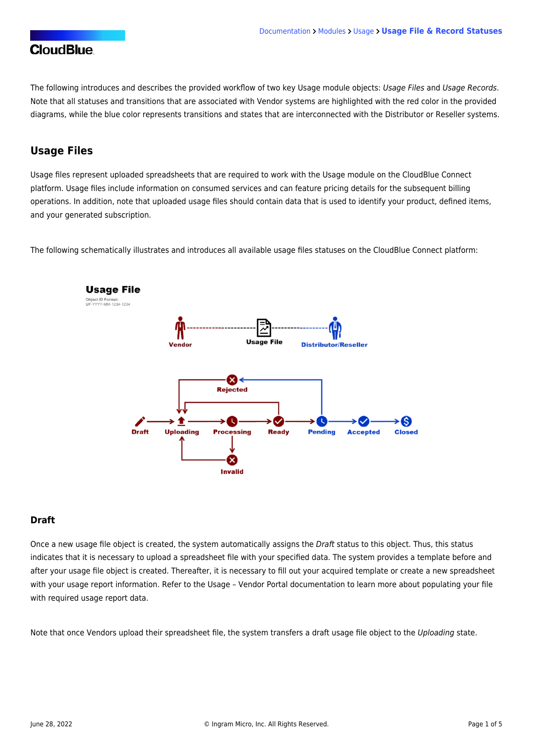The following introduces and describes the provided workflow of two key Usage module objects: Usage Files and Usage Records. Note that all statuses and transitions that are associated with Vendor systems are highlighted with the red color in the provided diagrams, while the blue color represents transitions and states that are interconnected with the Distributor or Reseller systems.

## **Usage Files**

Usage files represent uploaded spreadsheets that are required to work with the Usage module on the CloudBlue Connect platform. Usage files include information on consumed services and can feature pricing details for the subsequent billing operations. In addition, note that uploaded usage files should contain data that is used to identify your product, defined items, and your generated subscription.

The following schematically illustrates and introduces all available usage files statuses on the CloudBlue Connect platform:



#### **Draft**

Once a new usage file object is created, the system automatically assigns the Draft status to this object. Thus, this status indicates that it is necessary to upload a spreadsheet file with your specified data. The system provides a template before and after your usage file object is created. Thereafter, it is necessary to fill out your acquired template or create a new spreadsheet with your usage report information. Refer to the [Usage – Vendor Portal](https://connect.cloudblue.com/community/modules/usage_module/vendor-portal/#Populating_Usage_File) documentation to learn more about populating your file with required usage report data.

Note that once Vendors upload their spreadsheet file, the system transfers a draft usage file object to the Uploading state.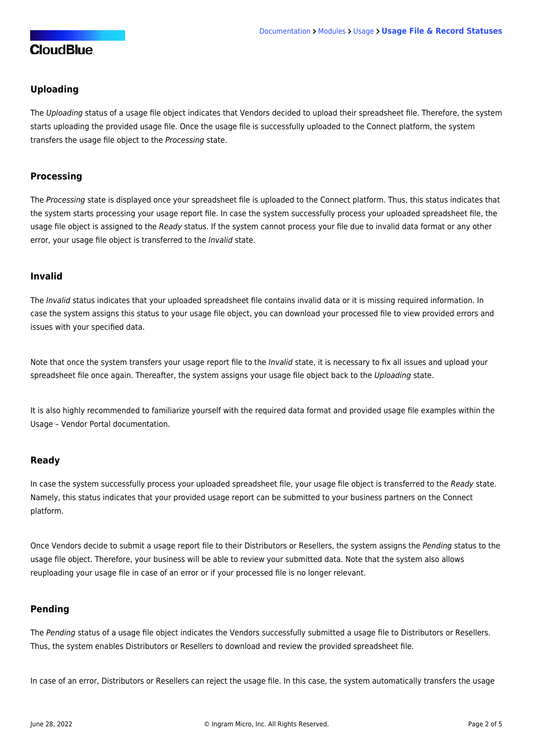## **Uploading**

The Uploading status of a usage file object indicates that Vendors decided to upload their spreadsheet file. Therefore, the system starts uploading the provided usage file. Once the usage file is successfully uploaded to the Connect platform, the system transfers the usage file object to the Processing state.

## **Processing**

The Processing state is displayed once your spreadsheet file is uploaded to the Connect platform. Thus, this status indicates that the system starts processing your usage report file. In case the system successfully process your uploaded spreadsheet file, the usage file object is assigned to the Ready status. If the system cannot process your file due to invalid data format or any other error, your usage file object is transferred to the Invalid state.

#### **Invalid**

The Invalid status indicates that your uploaded spreadsheet file contains invalid data or it is missing required information. In case the system assigns this status to your usage file object, you can download your processed file to view provided errors and issues with your specified data.

Note that once the system transfers your usage report file to the Invalid state, it is necessary to fix all issues and upload your spreadsheet file once again. Thereafter, the system assigns your usage file object back to the Uploading state.

It is also highly recommended to familiarize yourself with the required [data format](https://connect.cloudblue.com/community/modules/usage_module/vendor-portal/#Populating_Usage_File) and provided [usage file examples](https://connect.cloudblue.com/community/modules/usage_module/vendor-portal/#Usage_File_Examples) within the Usage – Vendor Portal documentation.

#### **Ready**

In case the system successfully process your uploaded spreadsheet file, your usage file object is transferred to the Ready state. Namely, this status indicates that your provided usage report can be submitted to your business partners on the Connect platform.

Once Vendors decide to submit a usage report file to their Distributors or Resellers, the system assigns the Pending status to the usage file object. Therefore, your business will be able to review your submitted data. Note that the system also allows reuploading your usage file in case of an error or if your processed file is no longer relevant.

## **Pending**

The Pending status of a usage file object indicates the Vendors successfully submitted a usage file to Distributors or Resellers. Thus, the system enables Distributors or Resellers to download and review the provided spreadsheet file.

In case of an error, Distributors or Resellers can reject the usage file. In this case, the system automatically transfers the usage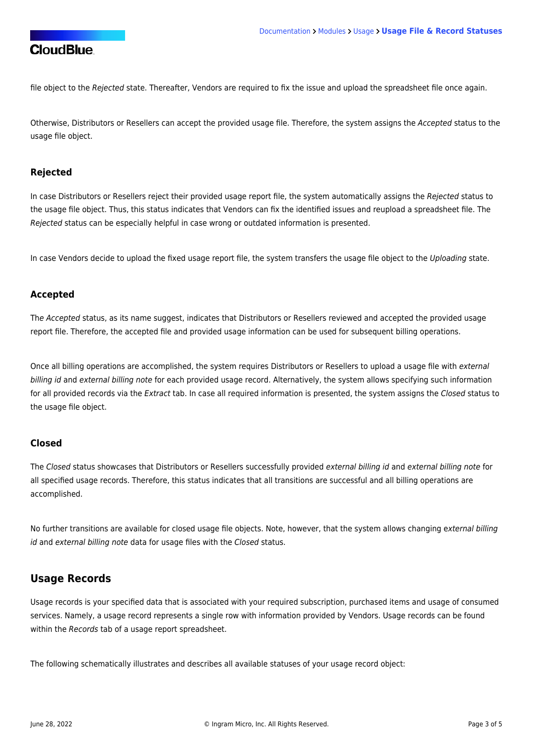file object to the Rejected state. Thereafter, Vendors are required to fix the issue and upload the spreadsheet file once again.

Otherwise, Distributors or Resellers can accept the provided usage file. Therefore, the system assigns the Accepted status to the usage file object.

#### **Rejected**

In case Distributors or Resellers reject their provided usage report file, the system automatically assigns the Rejected status to the usage file object. Thus, this status indicates that Vendors can fix the identified issues and reupload a spreadsheet file. The Rejected status can be especially helpful in case wrong or outdated information is presented.

In case Vendors decide to upload the fixed usage report file, the system transfers the usage file object to the Uploading state.

#### **Accepted**

The Accepted status, as its name suggest, indicates that Distributors or Resellers reviewed and accepted the provided usage report file. Therefore, the accepted file and provided usage information can be used for subsequent billing operations.

Once all billing operations are accomplished, the system requires Distributors or Resellers to upload a usage file with external billing id and external billing note for each provided usage record. Alternatively, the system allows specifying such information for all provided records via the Extract tab. In case all required information is presented, the system assigns the Closed status to the usage file object.

#### **Closed**

The Closed status showcases that Distributors or Resellers successfully provided external billing id and external billing note for all specified usage records. Therefore, this status indicates that all transitions are successful and all billing operations are accomplished.

No further transitions are available for closed usage file objects. Note, however, that the system allows changing external billing id and external billing note data for usage files with the Closed status.

## **Usage Records**

Usage records is your specified data that is associated with your required subscription, purchased items and usage of consumed services. Namely, a usage record represents a single row with information provided by Vendors. Usage records can be found within the Records tab of a usage report spreadsheet.

The following schematically illustrates and describes all available statuses of your usage record object: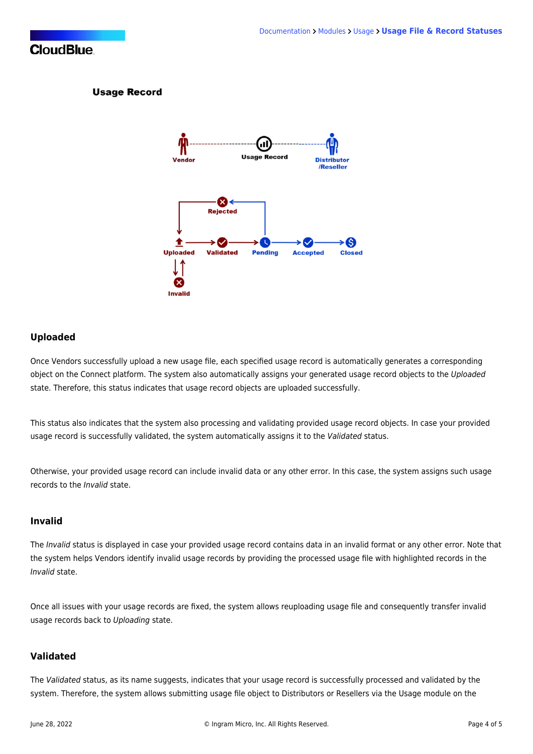#### **Usage Record**



#### **Uploaded**

Once Vendors successfully upload a new usage file, each specified usage record is automatically generates a corresponding object on the Connect platform. The system also automatically assigns your generated usage record objects to the Uploaded state. Therefore, this status indicates that usage record objects are uploaded successfully.

This status also indicates that the system also processing and validating provided usage record objects. In case your provided usage record is successfully validated, the system automatically assigns it to the Validated status.

Otherwise, your provided usage record can include invalid data or any other error. In this case, the system assigns such usage records to the Invalid state.

#### **Invalid**

The Invalid status is displayed in case your provided usage record contains data in an invalid format or any other error. Note that the system helps Vendors identify invalid usage records by providing the processed usage file with highlighted records in the Invalid state.

Once all issues with your usage records are fixed, the system allows reuploading usage file and consequently transfer invalid usage records back to Uploading state.

#### **Validated**

The Validated status, as its name suggests, indicates that your usage record is successfully processed and validated by the system. Therefore, the system allows submitting usage file object to Distributors or Resellers via the Usage module on the